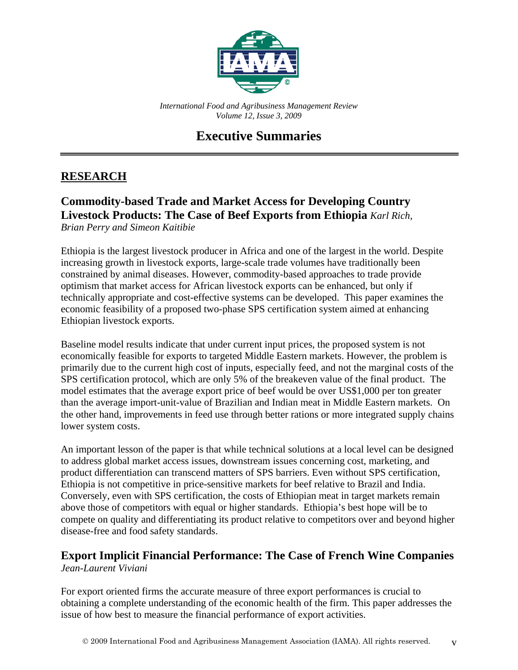

*International Food and Agribusiness Management Review Volume 12, Issue 3, 2009*

# **Executive Summaries**

# **RESEARCH**

## **Commodity-based Trade and Market Access for Developing Country Livestock Products: The Case of Beef Exports from Ethiopia** *Karl Rich, Brian Perry and Simeon Kaitibie*

Ethiopia is the largest livestock producer in Africa and one of the largest in the world. Despite increasing growth in livestock exports, large-scale trade volumes have traditionally been constrained by animal diseases. However, commodity-based approaches to trade provide optimism that market access for African livestock exports can be enhanced, but only if technically appropriate and cost-effective systems can be developed. This paper examines the economic feasibility of a proposed two-phase SPS certification system aimed at enhancing Ethiopian livestock exports.

Baseline model results indicate that under current input prices, the proposed system is not economically feasible for exports to targeted Middle Eastern markets. However, the problem is primarily due to the current high cost of inputs, especially feed, and not the marginal costs of the SPS certification protocol, which are only 5% of the breakeven value of the final product. The model estimates that the average export price of beef would be over US\$1,000 per ton greater than the average import-unit-value of Brazilian and Indian meat in Middle Eastern markets. On the other hand, improvements in feed use through better rations or more integrated supply chains lower system costs.

An important lesson of the paper is that while technical solutions at a local level can be designed to address global market access issues, downstream issues concerning cost, marketing, and product differentiation can transcend matters of SPS barriers. Even without SPS certification, Ethiopia is not competitive in price-sensitive markets for beef relative to Brazil and India. Conversely, even with SPS certification, the costs of Ethiopian meat in target markets remain above those of competitors with equal or higher standards. Ethiopia's best hope will be to compete on quality and differentiating its product relative to competitors over and beyond higher disease-free and food safety standards.

# **Export Implicit Financial Performance: The Case of French Wine Companies** *Jean-Laurent Viviani*

For export oriented firms the accurate measure of three export performances is crucial to obtaining a complete understanding of the economic health of the firm. This paper addresses the issue of how best to measure the financial performance of export activities.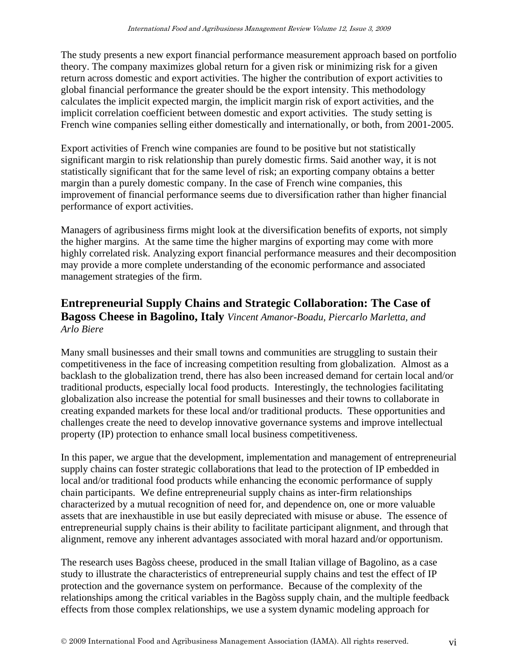The study presents a new export financial performance measurement approach based on portfolio theory. The company maximizes global return for a given risk or minimizing risk for a given return across domestic and export activities. The higher the contribution of export activities to global financial performance the greater should be the export intensity. This methodology calculates the implicit expected margin, the implicit margin risk of export activities, and the implicit correlation coefficient between domestic and export activities. The study setting is French wine companies selling either domestically and internationally, or both, from 2001-2005.

Export activities of French wine companies are found to be positive but not statistically significant margin to risk relationship than purely domestic firms. Said another way, it is not statistically significant that for the same level of risk; an exporting company obtains a better margin than a purely domestic company. In the case of French wine companies, this improvement of financial performance seems due to diversification rather than higher financial performance of export activities.

Managers of agribusiness firms might look at the diversification benefits of exports, not simply the higher margins. At the same time the higher margins of exporting may come with more highly correlated risk. Analyzing export financial performance measures and their decomposition may provide a more complete understanding of the economic performance and associated management strategies of the firm.

# **Entrepreneurial Supply Chains and Strategic Collaboration: The Case of Bagoss Cheese in Bagolino, Italy** *Vincent Amanor-Boadu, Piercarlo Marletta, and Arlo Biere*

Many small businesses and their small towns and communities are struggling to sustain their competitiveness in the face of increasing competition resulting from globalization. Almost as a backlash to the globalization trend, there has also been increased demand for certain local and/or traditional products, especially local food products. Interestingly, the technologies facilitating globalization also increase the potential for small businesses and their towns to collaborate in creating expanded markets for these local and/or traditional products. These opportunities and challenges create the need to develop innovative governance systems and improve intellectual property (IP) protection to enhance small local business competitiveness.

In this paper, we argue that the development, implementation and management of entrepreneurial supply chains can foster strategic collaborations that lead to the protection of IP embedded in local and/or traditional food products while enhancing the economic performance of supply chain participants. We define entrepreneurial supply chains as inter-firm relationships characterized by a mutual recognition of need for, and dependence on, one or more valuable assets that are inexhaustible in use but easily depreciated with misuse or abuse. The essence of entrepreneurial supply chains is their ability to facilitate participant alignment, and through that alignment, remove any inherent advantages associated with moral hazard and/or opportunism.

The research uses Bagòss cheese, produced in the small Italian village of Bagolino, as a case study to illustrate the characteristics of entrepreneurial supply chains and test the effect of IP protection and the governance system on performance. Because of the complexity of the relationships among the critical variables in the Bagòss supply chain, and the multiple feedback effects from those complex relationships, we use a system dynamic modeling approach for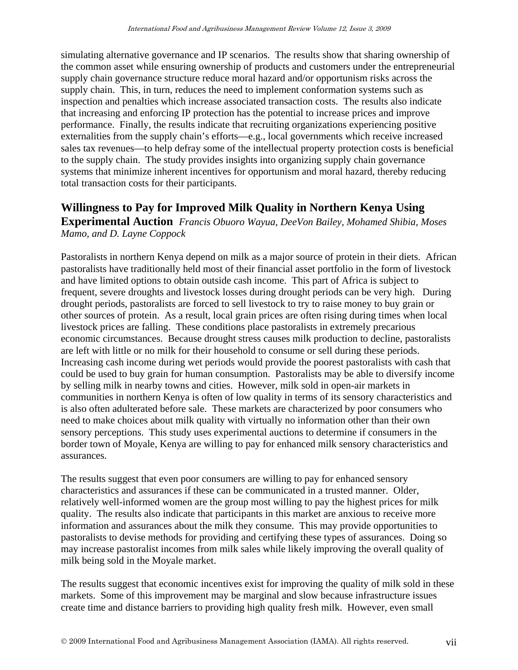simulating alternative governance and IP scenarios. The results show that sharing ownership of the common asset while ensuring ownership of products and customers under the entrepreneurial supply chain governance structure reduce moral hazard and/or opportunism risks across the supply chain. This, in turn, reduces the need to implement conformation systems such as inspection and penalties which increase associated transaction costs. The results also indicate that increasing and enforcing IP protection has the potential to increase prices and improve performance. Finally, the results indicate that recruiting organizations experiencing positive externalities from the supply chain's efforts—e.g., local governments which receive increased sales tax revenues—to help defray some of the intellectual property protection costs is beneficial to the supply chain. The study provides insights into organizing supply chain governance systems that minimize inherent incentives for opportunism and moral hazard, thereby reducing total transaction costs for their participants.

#### **Willingness to Pay for Improved Milk Quality in Northern Kenya Using**

**Experimental Auction** *Francis Obuoro Wayua, DeeVon Bailey, Mohamed Shibia, Moses Mamo, and D. Layne Coppock*

Pastoralists in northern Kenya depend on milk as a major source of protein in their diets. African pastoralists have traditionally held most of their financial asset portfolio in the form of livestock and have limited options to obtain outside cash income. This part of Africa is subject to frequent, severe droughts and livestock losses during drought periods can be very high. During drought periods, pastoralists are forced to sell livestock to try to raise money to buy grain or other sources of protein. As a result, local grain prices are often rising during times when local livestock prices are falling. These conditions place pastoralists in extremely precarious economic circumstances. Because drought stress causes milk production to decline, pastoralists are left with little or no milk for their household to consume or sell during these periods. Increasing cash income during wet periods would provide the poorest pastoralists with cash that could be used to buy grain for human consumption. Pastoralists may be able to diversify income by selling milk in nearby towns and cities. However, milk sold in open-air markets in communities in northern Kenya is often of low quality in terms of its sensory characteristics and is also often adulterated before sale. These markets are characterized by poor consumers who need to make choices about milk quality with virtually no information other than their own sensory perceptions. This study uses experimental auctions to determine if consumers in the border town of Moyale, Kenya are willing to pay for enhanced milk sensory characteristics and assurances.

The results suggest that even poor consumers are willing to pay for enhanced sensory characteristics and assurances if these can be communicated in a trusted manner. Older, relatively well-informed women are the group most willing to pay the highest prices for milk quality. The results also indicate that participants in this market are anxious to receive more information and assurances about the milk they consume. This may provide opportunities to pastoralists to devise methods for providing and certifying these types of assurances. Doing so may increase pastoralist incomes from milk sales while likely improving the overall quality of milk being sold in the Moyale market.

The results suggest that economic incentives exist for improving the quality of milk sold in these markets. Some of this improvement may be marginal and slow because infrastructure issues create time and distance barriers to providing high quality fresh milk. However, even small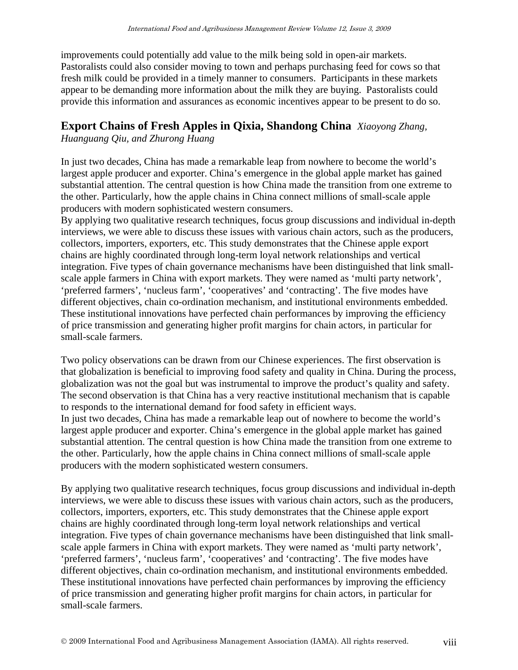improvements could potentially add value to the milk being sold in open-air markets. Pastoralists could also consider moving to town and perhaps purchasing feed for cows so that fresh milk could be provided in a timely manner to consumers. Participants in these markets appear to be demanding more information about the milk they are buying. Pastoralists could provide this information and assurances as economic incentives appear to be present to do so.

## **Export Chains of Fresh Apples in Qixia, Shandong China** *Xiaoyong Zhang,*

*Huanguang Qiu, and Zhurong Huang*

In just two decades, China has made a remarkable leap from nowhere to become the world's largest apple producer and exporter. China's emergence in the global apple market has gained substantial attention. The central question is how China made the transition from one extreme to the other. Particularly, how the apple chains in China connect millions of small-scale apple producers with modern sophisticated western consumers.

By applying two qualitative research techniques, focus group discussions and individual in-depth interviews, we were able to discuss these issues with various chain actors, such as the producers, collectors, importers, exporters, etc. This study demonstrates that the Chinese apple export chains are highly coordinated through long-term loyal network relationships and vertical integration. Five types of chain governance mechanisms have been distinguished that link smallscale apple farmers in China with export markets. They were named as 'multi party network', 'preferred farmers', 'nucleus farm', 'cooperatives' and 'contracting'. The five modes have different objectives, chain co-ordination mechanism, and institutional environments embedded. These institutional innovations have perfected chain performances by improving the efficiency of price transmission and generating higher profit margins for chain actors, in particular for small-scale farmers.

Two policy observations can be drawn from our Chinese experiences. The first observation is that globalization is beneficial to improving food safety and quality in China. During the process, globalization was not the goal but was instrumental to improve the product's quality and safety. The second observation is that China has a very reactive institutional mechanism that is capable to responds to the international demand for food safety in efficient ways. In just two decades, China has made a remarkable leap out of nowhere to become the world's largest apple producer and exporter. China's emergence in the global apple market has gained substantial attention. The central question is how China made the transition from one extreme to the other. Particularly, how the apple chains in China connect millions of small-scale apple producers with the modern sophisticated western consumers.

By applying two qualitative research techniques, focus group discussions and individual in-depth interviews, we were able to discuss these issues with various chain actors, such as the producers, collectors, importers, exporters, etc. This study demonstrates that the Chinese apple export chains are highly coordinated through long-term loyal network relationships and vertical integration. Five types of chain governance mechanisms have been distinguished that link smallscale apple farmers in China with export markets. They were named as 'multi party network', 'preferred farmers', 'nucleus farm', 'cooperatives' and 'contracting'. The five modes have different objectives, chain co-ordination mechanism, and institutional environments embedded. These institutional innovations have perfected chain performances by improving the efficiency of price transmission and generating higher profit margins for chain actors, in particular for small-scale farmers.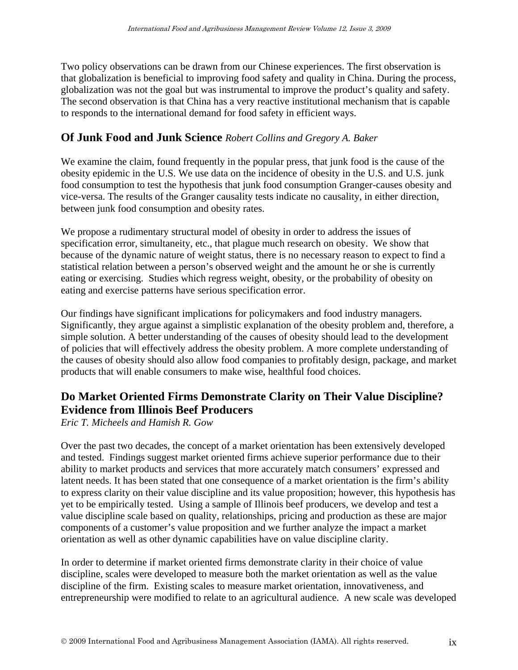Two policy observations can be drawn from our Chinese experiences. The first observation is that globalization is beneficial to improving food safety and quality in China. During the process, globalization was not the goal but was instrumental to improve the product's quality and safety. The second observation is that China has a very reactive institutional mechanism that is capable to responds to the international demand for food safety in efficient ways.

## **Of Junk Food and Junk Science** *Robert Collins and Gregory A. Baker*

We examine the claim, found frequently in the popular press, that junk food is the cause of the obesity epidemic in the U.S. We use data on the incidence of obesity in the U.S. and U.S. junk food consumption to test the hypothesis that junk food consumption Granger-causes obesity and vice-versa. The results of the Granger causality tests indicate no causality, in either direction, between junk food consumption and obesity rates.

We propose a rudimentary structural model of obesity in order to address the issues of specification error, simultaneity, etc., that plague much research on obesity. We show that because of the dynamic nature of weight status, there is no necessary reason to expect to find a statistical relation between a person's observed weight and the amount he or she is currently eating or exercising. Studies which regress weight, obesity, or the probability of obesity on eating and exercise patterns have serious specification error.

Our findings have significant implications for policymakers and food industry managers. Significantly, they argue against a simplistic explanation of the obesity problem and, therefore, a simple solution. A better understanding of the causes of obesity should lead to the development of policies that will effectively address the obesity problem. A more complete understanding of the causes of obesity should also allow food companies to profitably design, package, and market products that will enable consumers to make wise, healthful food choices.

# **Do Market Oriented Firms Demonstrate Clarity on Their Value Discipline? Evidence from Illinois Beef Producers**

*Eric T. Micheels and Hamish R. Gow*

Over the past two decades, the concept of a market orientation has been extensively developed and tested. Findings suggest market oriented firms achieve superior performance due to their ability to market products and services that more accurately match consumers' expressed and latent needs. It has been stated that one consequence of a market orientation is the firm's ability to express clarity on their value discipline and its value proposition; however, this hypothesis has yet to be empirically tested. Using a sample of Illinois beef producers, we develop and test a value discipline scale based on quality, relationships, pricing and production as these are major components of a customer's value proposition and we further analyze the impact a market orientation as well as other dynamic capabilities have on value discipline clarity.

In order to determine if market oriented firms demonstrate clarity in their choice of value discipline, scales were developed to measure both the market orientation as well as the value discipline of the firm. Existing scales to measure market orientation, innovativeness, and entrepreneurship were modified to relate to an agricultural audience. A new scale was developed